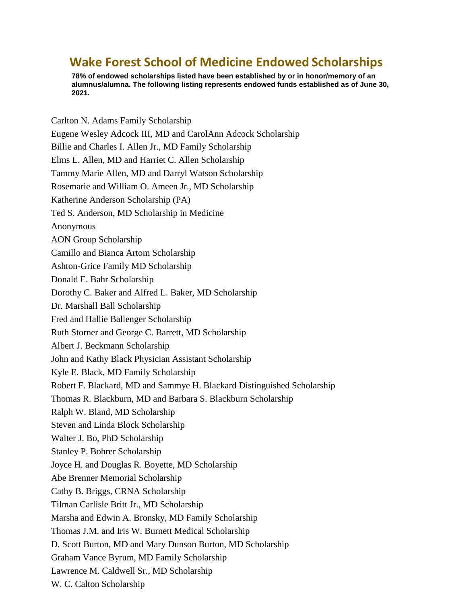## **Wake Forest School of Medicine Endowed Scholarships**

**78% of endowed scholarships listed have been established by or in honor/memory of an alumnus/alumna. The following listing represents endowed funds established as of June 30, 2021.**

Carlton N. Adams Family Scholarship Eugene Wesley Adcock III, MD and CarolAnn Adcock Scholarship Billie and Charles I. Allen Jr., MD Family Scholarship Elms L. Allen, MD and Harriet C. Allen Scholarship Tammy Marie Allen, MD and Darryl Watson Scholarship Rosemarie and William O. Ameen Jr., MD Scholarship Katherine Anderson Scholarship (PA) Ted S. Anderson, MD Scholarship in Medicine Anonymous AON Group Scholarship Camillo and Bianca Artom Scholarship Ashton-Grice Family MD Scholarship Donald E. Bahr Scholarship Dorothy C. Baker and Alfred L. Baker, MD Scholarship Dr. Marshall Ball Scholarship Fred and Hallie Ballenger Scholarship Ruth Storner and George C. Barrett, MD Scholarship Albert J. Beckmann Scholarship John and Kathy Black Physician Assistant Scholarship Kyle E. Black, MD Family Scholarship Robert F. Blackard, MD and Sammye H. Blackard Distinguished Scholarship Thomas R. Blackburn, MD and Barbara S. Blackburn Scholarship Ralph W. Bland, MD Scholarship Steven and Linda Block Scholarship Walter J. Bo, PhD Scholarship Stanley P. Bohrer Scholarship Joyce H. and Douglas R. Boyette, MD Scholarship Abe Brenner Memorial Scholarship Cathy B. Briggs, CRNA Scholarship Tilman Carlisle Britt Jr., MD Scholarship Marsha and Edwin A. Bronsky, MD Family Scholarship Thomas J.M. and Iris W. Burnett Medical Scholarship D. Scott Burton, MD and Mary Dunson Burton, MD Scholarship Graham Vance Byrum, MD Family Scholarship Lawrence M. Caldwell Sr., MD Scholarship W. C. Calton Scholarship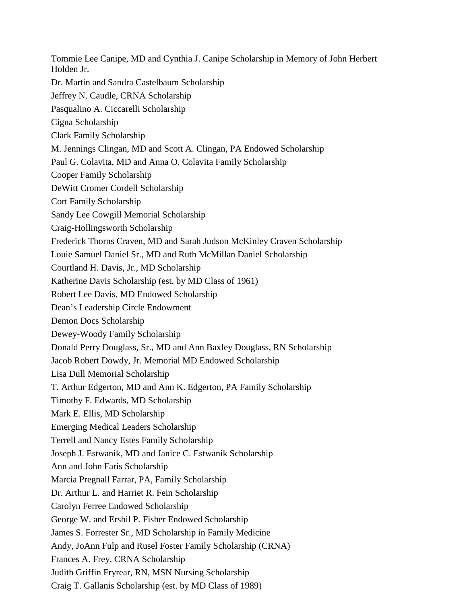Tommie Lee Canipe, MD and Cynthia J. Canipe Scholarship in Memory of John Herbert Holden Jr. Dr. Martin and Sandra Castelbaum Scholarship Jeffrey N. Caudle, CRNA Scholarship Pasqualino A. Ciccarelli Scholarship Cigna Scholarship Clark Family Scholarship M. Jennings Clingan, MD and Scott A. Clingan, PA Endowed Scholarship Paul G. Colavita, MD and Anna O. Colavita Family Scholarship Cooper Family Scholarship DeWitt Cromer Cordell Scholarship Cort Family Scholarship Sandy Lee Cowgill Memorial Scholarship Craig-Hollingsworth Scholarship Frederick Thorns Craven, MD and Sarah Judson McKinley Craven Scholarship Louie Samuel Daniel Sr., MD and Ruth McMillan Daniel Scholarship Courtland H. Davis, Jr., MD Scholarship Katherine Davis Scholarship (est. by MD Class of 1961) Robert Lee Davis, MD Endowed Scholarship Dean's Leadership Circle Endowment Demon Docs Scholarship Dewey-Woody Family Scholarship Donald Perry Douglass, Sr., MD and Ann Baxley Douglass, RN Scholarship Jacob Robert Dowdy, Jr. Memorial MD Endowed Scholarship Lisa Dull Memorial Scholarship T. Arthur Edgerton, MD and Ann K. Edgerton, PA Family Scholarship Timothy F. Edwards, MD Scholarship Mark E. Ellis, MD Scholarship Emerging Medical Leaders Scholarship Terrell and Nancy Estes Family Scholarship Joseph J. Estwanik, MD and Janice C. Estwanik Scholarship Ann and John Faris Scholarship Marcia Pregnall Farrar, PA, Family Scholarship Dr. Arthur L. and Harriet R. Fein Scholarship Carolyn Ferree Endowed Scholarship George W. and Ershil P. Fisher Endowed Scholarship James S. Forrester Sr., MD Scholarship in Family Medicine Andy, JoAnn Fulp and Rusel Foster Family Scholarship (CRNA) Frances A. Frey, CRNA Scholarship Judith Griffin Fryrear, RN, MSN Nursing Scholarship Craig T. Gallanis Scholarship (est. by MD Class of 1989)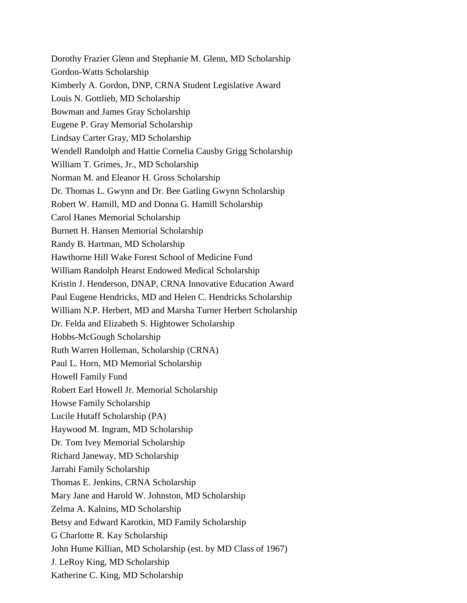Dorothy Frazier Glenn and Stephanie M. Glenn, MD Scholarship Gordon-Watts Scholarship Kimberly A. Gordon, DNP, CRNA Student Legislative Award Louis N. Gottlieb, MD Scholarship Bowman and James Gray Scholarship Eugene P. Gray Memorial Scholarship Lindsay Carter Gray, MD Scholarship Wendell Randolph and Hattie Cornelia Causby Grigg Scholarship William T. Grimes, Jr., MD Scholarship Norman M. and Eleanor H. Gross Scholarship Dr. Thomas L. Gwynn and Dr. Bee Gatling Gwynn Scholarship Robert W. Hamill, MD and Donna G. Hamill Scholarship Carol Hanes Memorial Scholarship Burnett H. Hansen Memorial Scholarship Randy B. Hartman, MD Scholarship Hawthorne Hill Wake Forest School of Medicine Fund William Randolph Hearst Endowed Medical Scholarship Kristin J. Henderson, DNAP, CRNA Innovative Education Award Paul Eugene Hendricks, MD and Helen C. Hendricks Scholarship William N.P. Herbert, MD and Marsha Turner Herbert Scholarship Dr. Felda and Elizabeth S. Hightower Scholarship Hobbs-McGough Scholarship Ruth Warren Holleman, Scholarship (CRNA) Paul L. Horn, MD Memorial Scholarship Howell Family Fund Robert Earl Howell Jr. Memorial Scholarship Howse Family Scholarship Lucile Hutaff Scholarship (PA) Haywood M. Ingram, MD Scholarship Dr. Tom Ivey Memorial Scholarship Richard Janeway, MD Scholarship Jarrahi Family Scholarship Thomas E. Jenkins, CRNA Scholarship Mary Jane and Harold W. Johnston, MD Scholarship Zelma A. Kalnins, MD Scholarship Betsy and Edward Karotkin, MD Family Scholarship G Charlotte R. Kay Scholarship John Hume Killian, MD Scholarship (est. by MD Class of 1967) J. LeRoy King, MD Scholarship Katherine C. King, MD Scholarship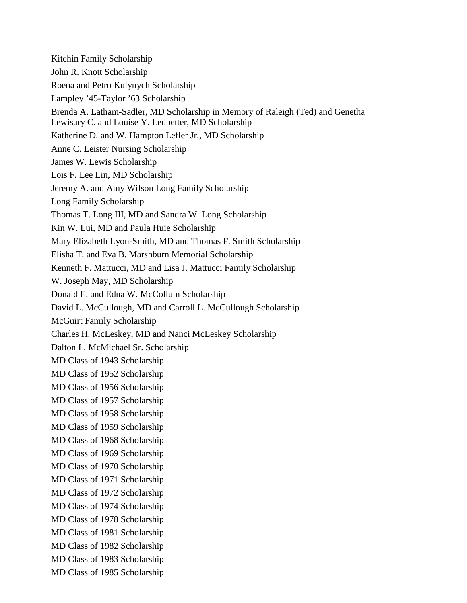Kitchin Family Scholarship John R. Knott Scholarship Roena and Petro Kulynych Scholarship Lampley '45-Taylor '63 Scholarship Brenda A. Latham-Sadler, MD Scholarship in Memory of Raleigh (Ted) and Genetha Lewisary C. and Louise Y. Ledbetter, MD Scholarship Katherine D. and W. Hampton Lefler Jr., MD Scholarship Anne C. Leister Nursing Scholarship James W. Lewis Scholarship Lois F. Lee Lin, MD Scholarship Jeremy A. and Amy Wilson Long Family Scholarship Long Family Scholarship Thomas T. Long III, MD and Sandra W. Long Scholarship Kin W. Lui, MD and Paula Huie Scholarship Mary Elizabeth Lyon-Smith, MD and Thomas F. Smith Scholarship Elisha T. and Eva B. Marshburn Memorial Scholarship Kenneth F. Mattucci, MD and Lisa J. Mattucci Family Scholarship W. Joseph May, MD Scholarship Donald E. and Edna W. McCollum Scholarship David L. McCullough, MD and Carroll L. McCullough Scholarship McGuirt Family Scholarship Charles H. McLeskey, MD and Nanci McLeskey Scholarship Dalton L. McMichael Sr. Scholarship MD Class of 1943 Scholarship MD Class of 1952 Scholarship MD Class of 1956 Scholarship MD Class of 1957 Scholarship MD Class of 1958 Scholarship MD Class of 1959 Scholarship MD Class of 1968 Scholarship MD Class of 1969 Scholarship MD Class of 1970 Scholarship MD Class of 1971 Scholarship MD Class of 1972 Scholarship MD Class of 1974 Scholarship MD Class of 1978 Scholarship MD Class of 1981 Scholarship MD Class of 1982 Scholarship MD Class of 1983 Scholarship MD Class of 1985 Scholarship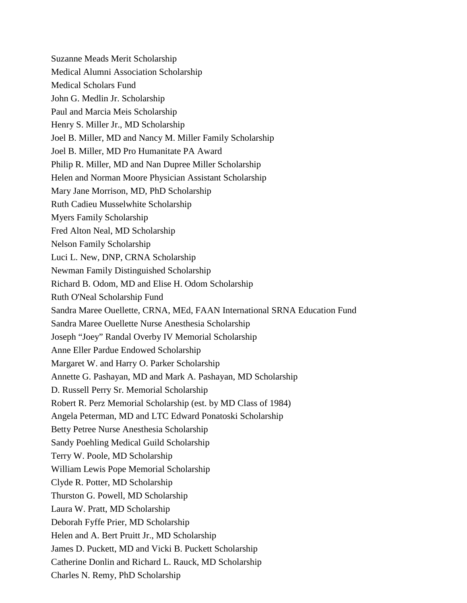Suzanne Meads Merit Scholarship Medical Alumni Association Scholarship Medical Scholars Fund John G. Medlin Jr. Scholarship Paul and Marcia Meis Scholarship Henry S. Miller Jr., MD Scholarship Joel B. Miller, MD and Nancy M. Miller Family Scholarship Joel B. Miller, MD Pro Humanitate PA Award Philip R. Miller, MD and Nan Dupree Miller Scholarship Helen and Norman Moore Physician Assistant Scholarship Mary Jane Morrison, MD, PhD Scholarship Ruth Cadieu Musselwhite Scholarship Myers Family Scholarship Fred Alton Neal, MD Scholarship Nelson Family Scholarship Luci L. New, DNP, CRNA Scholarship Newman Family Distinguished Scholarship Richard B. Odom, MD and Elise H. Odom Scholarship Ruth O'Neal Scholarship Fund Sandra Maree Ouellette, CRNA, MEd, FAAN International SRNA Education Fund Sandra Maree Ouellette Nurse Anesthesia Scholarship Joseph "Joey" Randal Overby IV Memorial Scholarship Anne Eller Pardue Endowed Scholarship Margaret W. and Harry O. Parker Scholarship Annette G. Pashayan, MD and Mark A. Pashayan, MD Scholarship D. Russell Perry Sr. Memorial Scholarship Robert R. Perz Memorial Scholarship (est. by MD Class of 1984) Angela Peterman, MD and LTC Edward Ponatoski Scholarship Betty Petree Nurse Anesthesia Scholarship Sandy Poehling Medical Guild Scholarship Terry W. Poole, MD Scholarship William Lewis Pope Memorial Scholarship Clyde R. Potter, MD Scholarship Thurston G. Powell, MD Scholarship Laura W. Pratt, MD Scholarship Deborah Fyffe Prier, MD Scholarship Helen and A. Bert Pruitt Jr., MD Scholarship James D. Puckett, MD and Vicki B. Puckett Scholarship Catherine Donlin and Richard L. Rauck, MD Scholarship Charles N. Remy, PhD Scholarship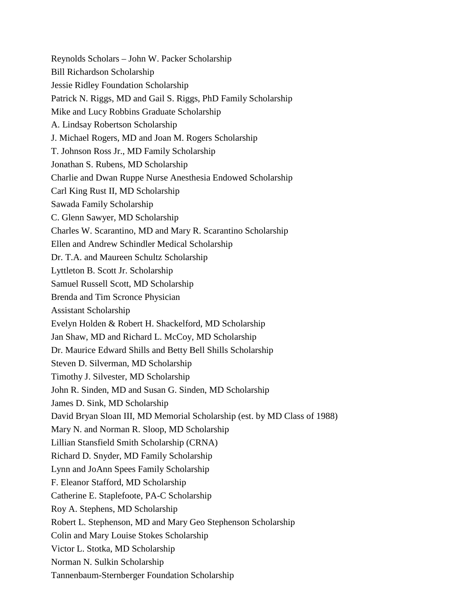Reynolds Scholars – John W. Packer Scholarship Bill Richardson Scholarship Jessie Ridley Foundation Scholarship Patrick N. Riggs, MD and Gail S. Riggs, PhD Family Scholarship Mike and Lucy Robbins Graduate Scholarship A. Lindsay Robertson Scholarship J. Michael Rogers, MD and Joan M. Rogers Scholarship T. Johnson Ross Jr., MD Family Scholarship Jonathan S. Rubens, MD Scholarship Charlie and Dwan Ruppe Nurse Anesthesia Endowed Scholarship Carl King Rust II, MD Scholarship Sawada Family Scholarship C. Glenn Sawyer, MD Scholarship Charles W. Scarantino, MD and Mary R. Scarantino Scholarship Ellen and Andrew Schindler Medical Scholarship Dr. T.A. and Maureen Schultz Scholarship Lyttleton B. Scott Jr. Scholarship Samuel Russell Scott, MD Scholarship Brenda and Tim Scronce Physician Assistant Scholarship Evelyn Holden & Robert H. Shackelford, MD Scholarship Jan Shaw, MD and Richard L. McCoy, MD Scholarship Dr. Maurice Edward Shills and Betty Bell Shills Scholarship Steven D. Silverman, MD Scholarship Timothy J. Silvester, MD Scholarship John R. Sinden, MD and Susan G. Sinden, MD Scholarship James D. Sink, MD Scholarship David Bryan Sloan III, MD Memorial Scholarship (est. by MD Class of 1988) Mary N. and Norman R. Sloop, MD Scholarship Lillian Stansfield Smith Scholarship (CRNA) Richard D. Snyder, MD Family Scholarship Lynn and JoAnn Spees Family Scholarship F. Eleanor Stafford, MD Scholarship Catherine E. Staplefoote, PA-C Scholarship Roy A. Stephens, MD Scholarship Robert L. Stephenson, MD and Mary Geo Stephenson Scholarship Colin and Mary Louise Stokes Scholarship Victor L. Stotka, MD Scholarship Norman N. Sulkin Scholarship Tannenbaum-Sternberger Foundation Scholarship